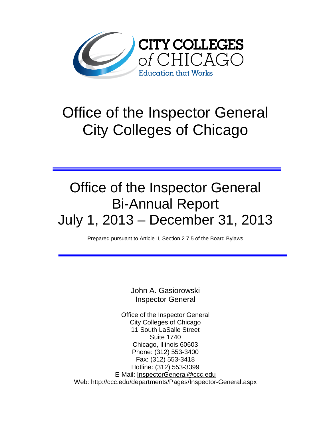

# Office of the Inspector General City Colleges of Chicago

## Office of the Inspector General Bi-Annual Report July 1, 2013 – December 31, 2013

Prepared pursuant to Article II, Section 2.7.5 of the Board Bylaws

John A. Gasiorowski Inspector General

Office of the Inspector General City Colleges of Chicago 11 South LaSalle Street Suite 1740 Chicago, Illinois 60603 Phone: (312) 553-3400 Fax: (312) 553-3418 Hotline: (312) 553-3399 E-Mail: [InspectorGeneral@ccc.edu](mailto:InspectorGeneral@ccc.edu) Web: http://ccc.edu/departments/Pages/Inspector-General.aspx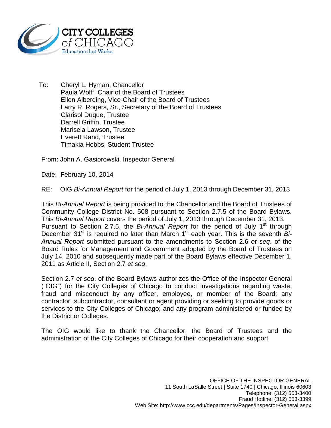

To: Cheryl L. Hyman, Chancellor Paula Wolff, Chair of the Board of Trustees Ellen Alberding, Vice-Chair of the Board of Trustees Larry R. Rogers, Sr., Secretary of the Board of Trustees Clarisol Duque, Trustee Darrell Griffin, Trustee Marisela Lawson, Trustee Everett Rand, Trustee Timakia Hobbs, Student Trustee

From: John A. Gasiorowski, Inspector General

Date: February 10, 2014

RE: OIG *Bi-Annual Report* for the period of July 1, 2013 through December 31, 2013

This *Bi-Annual Report* is being provided to the Chancellor and the Board of Trustees of Community College District No. 508 pursuant to Section 2.7.5 of the Board Bylaws. This *Bi-Annual Report* covers the period of July 1, 2013 through December 31, 2013. Pursuant to Section 2.7.5, the *Bi-Annual Report* for the period of July 1<sup>st</sup> through December 31<sup>st</sup> is required no later than March 1<sup>st</sup> each year. This is the seventh *Bi-Annual Report* submitted pursuant to the amendments to Section 2.6 *et seq*. of the Board Rules for Management and Government adopted by the Board of Trustees on July 14, 2010 and subsequently made part of the Board Bylaws effective December 1, 2011 as Article II, Section 2.7 *et seq*.

Section 2.7 *et seq*. of the Board Bylaws authorizes the Office of the Inspector General ("OIG") for the City Colleges of Chicago to conduct investigations regarding waste, fraud and misconduct by any officer, employee, or member of the Board; any contractor, subcontractor, consultant or agent providing or seeking to provide goods or services to the City Colleges of Chicago; and any program administered or funded by the District or Colleges.

The OIG would like to thank the Chancellor, the Board of Trustees and the administration of the City Colleges of Chicago for their cooperation and support.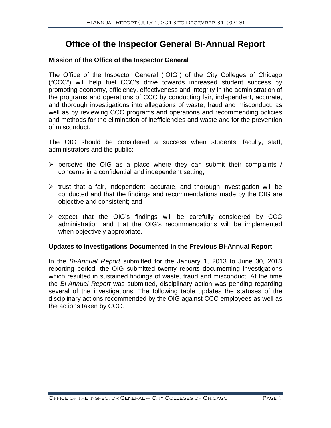### **Office of the Inspector General Bi-Annual Report**

#### **Mission of the Office of the Inspector General**

The Office of the Inspector General ("OIG") of the City Colleges of Chicago ("CCC") will help fuel CCC's drive towards increased student success by promoting economy, efficiency, effectiveness and integrity in the administration of the programs and operations of CCC by conducting fair, independent, accurate, and thorough investigations into allegations of waste, fraud and misconduct, as well as by reviewing CCC programs and operations and recommending policies and methods for the elimination of inefficiencies and waste and for the prevention of misconduct.

The OIG should be considered a success when students, faculty, staff, administrators and the public:

- $\triangleright$  perceive the OIG as a place where they can submit their complaints / concerns in a confidential and independent setting;
- $\triangleright$  trust that a fair, independent, accurate, and thorough investigation will be conducted and that the findings and recommendations made by the OIG are objective and consistent; and
- $\triangleright$  expect that the OIG's findings will be carefully considered by CCC administration and that the OIG's recommendations will be implemented when objectively appropriate.

#### **Updates to Investigations Documented in the Previous Bi-Annual Report**

In the *Bi-Annual Report* submitted for the January 1, 2013 to June 30, 2013 reporting period, the OIG submitted twenty reports documenting investigations which resulted in sustained findings of waste, fraud and misconduct. At the time the *Bi-Annual Report* was submitted, disciplinary action was pending regarding several of the investigations. The following table updates the statuses of the disciplinary actions recommended by the OIG against CCC employees as well as the actions taken by CCC.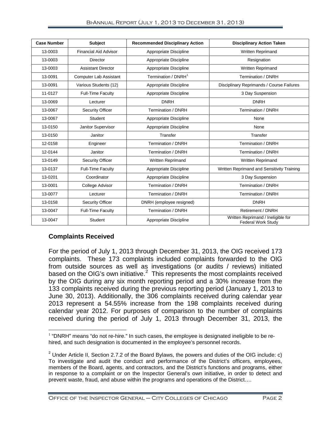| <b>Case Number</b> | <b>Subject</b>                | <b>Recommended Disciplinary Action</b> | <b>Disciplinary Action Taken</b>                                |
|--------------------|-------------------------------|----------------------------------------|-----------------------------------------------------------------|
| 13-0003            | <b>Financial Aid Advisor</b>  | Appropriate Discipline                 | Written Reprimand                                               |
| 13-0003            | Director                      | Appropriate Discipline                 | Resignation                                                     |
| 13-0003            | <b>Assistant Director</b>     | Appropriate Discipline                 | Written Reprimand                                               |
| 13-0091            | <b>Computer Lab Assistant</b> | Termination / DNRH <sup>1</sup>        | <b>Termination / DNRH</b>                                       |
| 13-0091            | Various Students (12)         | Appropriate Discipline                 | Disciplinary Reprimands / Course Failures                       |
| 11-0127            | <b>Full-Time Faculty</b>      | Appropriate Discipline                 | 3 Day Suspension                                                |
| 13-0069            | Lecturer                      | <b>DNRH</b>                            | <b>DNRH</b>                                                     |
| 13-0067            | <b>Security Officer</b>       | Termination / DNRH                     | Termination / DNRH                                              |
| 13-0067            | Student                       | Appropriate Discipline                 | None                                                            |
| 13-0150            | Janitor Supervisor            | Appropriate Discipline                 | None                                                            |
| 13-0150            | Janitor                       | Transfer                               | Transfer                                                        |
| 12-0158            | Engineer                      | Termination / DNRH                     | Termination / DNRH                                              |
| 12-0144            | Janitor                       | Termination / DNRH                     | Termination / DNRH                                              |
| 13-0149            | <b>Security Officer</b>       | Written Reprimand                      | Written Reprimand                                               |
| 13-0137            | <b>Full-Time Faculty</b>      | Appropriate Discipline                 | Written Reprimand and Sensitivity Training                      |
| 13-0201            | Coordinator                   | Appropriate Discipline                 | 3 Day Suspension                                                |
| 13-0001            | College Advisor               | Termination / DNRH                     | Termination / DNRH                                              |
| 13-0077            | Lecturer                      | Termination / DNRH                     | Termination / DNRH                                              |
| 13-0158            | Security Officer              | DNRH (employee resigned)               | <b>DNRH</b>                                                     |
| 13-0047            | <b>Full-Time Faculty</b>      | Termination / DNRH                     | Retirement / DNRH                                               |
| 13-0047            | Student                       | Appropriate Discipline                 | Written Reprimand / Ineligible for<br><b>Federal Work Study</b> |

#### **Complaints Received**

For the period of July 1, 2013 through December 31, 2013, the OIG received 173 complaints. These 173 complaints included complaints forwarded to the OIG from outside sources as well as investigations (or audits / reviews) initiated based on the OIG's own initiative. $^2$  $^2$  This represents the most complaints received by the OIG during any six month reporting period and a 30% increase from the 133 complaints received during the previous reporting period (January 1, 2013 to June 30, 2013). Additionally, the 306 complaints received during calendar year 2013 represent a 54.55% increase from the 198 complaints received during calendar year 2012. For purposes of comparison to the number of complaints received during the period of July 1, 2013 through December 31, 2013, the

<span id="page-3-0"></span> $1$  "DNRH" means "do not re-hire." In such cases, the employee is designated ineligible to be rehired, and such designation is documented in the employee's personnel records.

<span id="page-3-1"></span><sup>&</sup>lt;sup>2</sup> Under Article II, Section 2.7.2 of the Board Bylaws, the powers and duties of the OIG include: c) To investigate and audit the conduct and performance of the District's officers, employees, members of the Board, agents, and contractors, and the District's functions and programs, either in response to a complaint or on the Inspector General's own initiative, in order to detect and prevent waste, fraud, and abuse within the programs and operations of the District….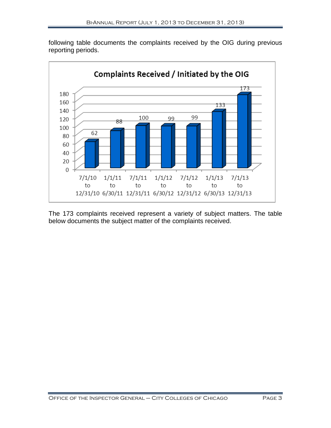following table documents the complaints received by the OIG during previous reporting periods.



The 173 complaints received represent a variety of subject matters. The table below documents the subject matter of the complaints received.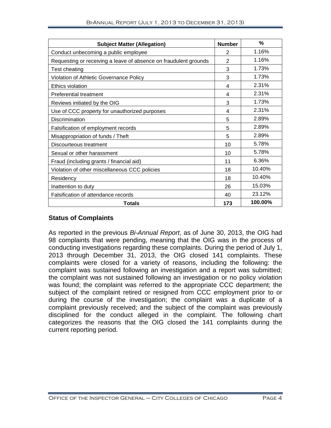| <b>Subject Matter (Allegation)</b>                               | <b>Number</b>  | $\frac{0}{2}$ |
|------------------------------------------------------------------|----------------|---------------|
| Conduct unbecoming a public employee                             | $\overline{2}$ | 1.16%         |
| Requesting or receiving a leave of absence on fraudulent grounds | $\overline{2}$ | 1.16%         |
| Test cheating                                                    | 3              | 1.73%         |
| Violation of Athletic Governance Policy                          | 3              | 1.73%         |
| <b>Ethics violation</b>                                          | 4              | 2.31%         |
| <b>Preferential treatment</b>                                    | 4              | 2.31%         |
| Reviews initiated by the OIG                                     | 3              | 1.73%         |
| Use of CCC property for unauthorized purposes                    | 4              | 2.31%         |
| Discrimination                                                   |                | 2.89%         |
| Falsification of employment records                              | 5              | 2.89%         |
| Misappropriation of funds / Theft                                |                | 2.89%         |
| Discourteous treatment                                           | 10             | 5.78%         |
| Sexual or other harassment                                       |                | 5.78%         |
| Fraud (including grants / financial aid)                         |                | 6.36%         |
| Violation of other miscellaneous CCC policies                    |                | 10.40%        |
| Residency                                                        |                | 10.40%        |
| Inattention to duty                                              |                | 15.03%        |
| Falsification of attendance records                              |                | 23.12%        |
| <b>Totals</b>                                                    | 173            | 100.00%       |

#### **Status of Complaints**

As reported in the previous *Bi-Annual Report*, as of June 30, 2013, the OIG had 98 complaints that were pending, meaning that the OIG was in the process of conducting investigations regarding these complaints. During the period of July 1, 2013 through December 31, 2013, the OIG closed 141 complaints. These complaints were closed for a variety of reasons, including the following: the complaint was sustained following an investigation and a report was submitted; the complaint was not sustained following an investigation or no policy violation was found; the complaint was referred to the appropriate CCC department; the subject of the complaint retired or resigned from CCC employment prior to or during the course of the investigation; the complaint was a duplicate of a complaint previously received; and the subject of the complaint was previously disciplined for the conduct alleged in the complaint. The following chart categorizes the reasons that the OIG closed the 141 complaints during the current reporting period.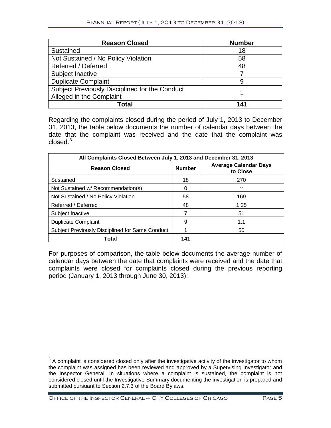| <b>Reason Closed</b>                           | <b>Number</b> |  |
|------------------------------------------------|---------------|--|
| Sustained                                      | 18            |  |
| Not Sustained / No Policy Violation            | 58            |  |
| Referred / Deferred                            | 48            |  |
| Subject Inactive                               |               |  |
| <b>Duplicate Complaint</b>                     | 9             |  |
| Subject Previously Disciplined for the Conduct |               |  |
| Alleged in the Complaint                       |               |  |
| Total                                          | 141           |  |

Regarding the complaints closed during the period of July 1, 2013 to December 31, 2013, the table below documents the number of calendar days between the date that the complaint was received and the date that the complaint was  $closed.<sup>3</sup>$  $closed.<sup>3</sup>$  $closed.<sup>3</sup>$ 

| All Complaints Closed Between July 1, 2013 and December 31, 2013 |               |                                          |  |  |  |
|------------------------------------------------------------------|---------------|------------------------------------------|--|--|--|
| <b>Reason Closed</b>                                             | <b>Number</b> | <b>Average Calendar Days</b><br>to Close |  |  |  |
| Sustained                                                        | 18            | 270                                      |  |  |  |
| Not Sustained w/ Recommendation(s)                               | O             |                                          |  |  |  |
| Not Sustained / No Policy Violation                              | 58            | 169                                      |  |  |  |
| Referred / Deferred                                              | 48            | 1.25                                     |  |  |  |
| Subject Inactive                                                 |               | 51                                       |  |  |  |
| <b>Duplicate Complaint</b>                                       | 9             | 1.1                                      |  |  |  |
| Subject Previously Disciplined for Same Conduct                  |               | 50                                       |  |  |  |
| Total                                                            | 141           |                                          |  |  |  |

For purposes of comparison, the table below documents the average number of calendar days between the date that complaints were received and the date that complaints were closed for complaints closed during the previous reporting period (January 1, 2013 through June 30, 2013):

<span id="page-6-0"></span> $3$  A complaint is considered closed only after the investigative activity of the investigator to whom the complaint was assigned has been reviewed and approved by a Supervising Investigator and the Inspector General. In situations where a complaint is sustained, the complaint is not considered closed until the Investigative Summary documenting the investigation is prepared and submitted pursuant to Section 2.7.3 of the Board Bylaws.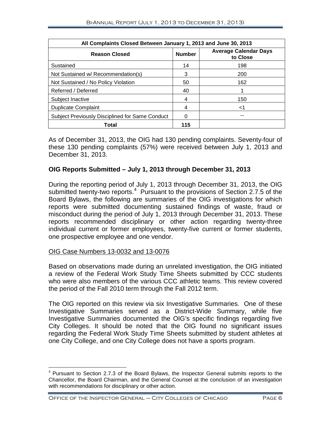| All Complaints Closed Between January 1, 2013 and June 30, 2013 |               |                                          |  |  |  |
|-----------------------------------------------------------------|---------------|------------------------------------------|--|--|--|
| <b>Reason Closed</b>                                            | <b>Number</b> | <b>Average Calendar Days</b><br>to Close |  |  |  |
| Sustained                                                       | 14            | 198                                      |  |  |  |
| Not Sustained w/ Recommendation(s)                              | 3             | 200                                      |  |  |  |
| Not Sustained / No Policy Violation                             | 50            | 162                                      |  |  |  |
| Referred / Deferred                                             | 40            |                                          |  |  |  |
| Subject Inactive                                                | 4             | 150                                      |  |  |  |
| <b>Duplicate Complaint</b>                                      |               | ا>                                       |  |  |  |
| <b>Subject Previously Disciplined for Same Conduct</b>          |               |                                          |  |  |  |
| Total                                                           | 115           |                                          |  |  |  |

As of December 31, 2013, the OIG had 130 pending complaints. Seventy-four of these 130 pending complaints (57%) were received between July 1, 2013 and December 31, 2013.

#### **OIG Reports Submitted – July 1, 2013 through December 31, 2013**

During the reporting period of July 1, 2013 through December 31, 2013, the OIG submitted twenty-two reports.<sup>[4](#page-7-0)</sup> Pursuant to the provisions of Section 2.7.5 of the Board Bylaws, the following are summaries of the OIG investigations for which reports were submitted documenting sustained findings of waste, fraud or misconduct during the period of July 1, 2013 through December 31, 2013. These reports recommended disciplinary or other action regarding twenty-three individual current or former employees, twenty-five current or former students, one prospective employee and one vendor.

#### OIG Case Numbers 13-0032 and 13-0076

Based on observations made during an unrelated investigation, the OIG initiated a review of the Federal Work Study Time Sheets submitted by CCC students who were also members of the various CCC athletic teams. This review covered the period of the Fall 2010 term through the Fall 2012 term.

The OIG reported on this review via six Investigative Summaries. One of these Investigative Summaries served as a District-Wide Summary, while five Investigative Summaries documented the OIG's specific findings regarding five City Colleges. It should be noted that the OIG found no significant issues regarding the Federal Work Study Time Sheets submitted by student athletes at one City College, and one City College does not have a sports program.

<span id="page-7-0"></span> $4$  Pursuant to Section 2.7.3 of the Board Bylaws, the Inspector General submits reports to the Chancellor, the Board Chairman, and the General Counsel at the conclusion of an investigation with recommendations for disciplinary or other action.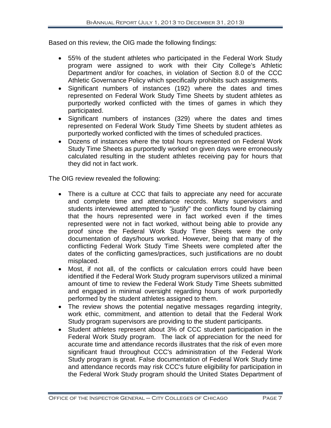Based on this review, the OIG made the following findings:

- 55% of the student athletes who participated in the Federal Work Study program were assigned to work with their City College's Athletic Department and/or for coaches, in violation of Section 8.0 of the CCC Athletic Governance Policy which specifically prohibits such assignments.
- Significant numbers of instances (192) where the dates and times represented on Federal Work Study Time Sheets by student athletes as purportedly worked conflicted with the times of games in which they participated.
- Significant numbers of instances (329) where the dates and times represented on Federal Work Study Time Sheets by student athletes as purportedly worked conflicted with the times of scheduled practices.
- Dozens of instances where the total hours represented on Federal Work Study Time Sheets as purportedly worked on given days were erroneously calculated resulting in the student athletes receiving pay for hours that they did not in fact work.

The OIG review revealed the following:

- There is a culture at CCC that fails to appreciate any need for accurate and complete time and attendance records. Many supervisors and students interviewed attempted to "justify" the conflicts found by claiming that the hours represented were in fact worked even if the times represented were not in fact worked, without being able to provide any proof since the Federal Work Study Time Sheets were the only documentation of days/hours worked. However, being that many of the conflicting Federal Work Study Time Sheets were completed after the dates of the conflicting games/practices, such justifications are no doubt misplaced.
- Most, if not all, of the conflicts or calculation errors could have been identified if the Federal Work Study program supervisors utilized a minimal amount of time to review the Federal Work Study Time Sheets submitted and engaged in minimal oversight regarding hours of work purportedly performed by the student athletes assigned to them.
- The review shows the potential negative messages regarding integrity, work ethic, commitment, and attention to detail that the Federal Work Study program supervisors are providing to the student participants.
- Student athletes represent about 3% of CCC student participation in the Federal Work Study program. The lack of appreciation for the need for accurate time and attendance records illustrates that the risk of even more significant fraud throughout CCC's administration of the Federal Work Study program is great. False documentation of Federal Work Study time and attendance records may risk CCC's future eligibility for participation in the Federal Work Study program should the United States Department of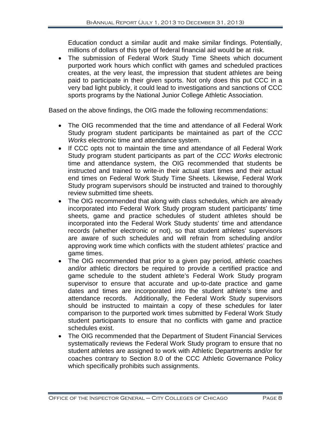Education conduct a similar audit and make similar findings. Potentially, millions of dollars of this type of federal financial aid would be at risk.

• The submission of Federal Work Study Time Sheets which document purported work hours which conflict with games and scheduled practices creates, at the very least, the impression that student athletes are being paid to participate in their given sports. Not only does this put CCC in a very bad light publicly, it could lead to investigations and sanctions of CCC sports programs by the National Junior College Athletic Association.

Based on the above findings, the OIG made the following recommendations:

- The OIG recommended that the time and attendance of all Federal Work Study program student participants be maintained as part of the *CCC Works* electronic time and attendance system.
- If CCC opts not to maintain the time and attendance of all Federal Work Study program student participants as part of the *CCC Works* electronic time and attendance system, the OIG recommended that students be instructed and trained to write-in their actual start times and their actual end times on Federal Work Study Time Sheets. Likewise, Federal Work Study program supervisors should be instructed and trained to thoroughly review submitted time sheets.
- The OIG recommended that along with class schedules, which are already incorporated into Federal Work Study program student participants' time sheets, game and practice schedules of student athletes should be incorporated into the Federal Work Study students' time and attendance records (whether electronic or not), so that student athletes' supervisors are aware of such schedules and will refrain from scheduling and/or approving work time which conflicts with the student athletes' practice and game times.
- The OIG recommended that prior to a given pay period, athletic coaches and/or athletic directors be required to provide a certified practice and game schedule to the student athlete's Federal Work Study program supervisor to ensure that accurate and up-to-date practice and game dates and times are incorporated into the student athlete's time and attendance records. Additionally, the Federal Work Study supervisors should be instructed to maintain a copy of these schedules for later comparison to the purported work times submitted by Federal Work Study student participants to ensure that no conflicts with game and practice schedules exist.
- The OIG recommended that the Department of Student Financial Services systematically reviews the Federal Work Study program to ensure that no student athletes are assigned to work with Athletic Departments and/or for coaches contrary to Section 8.0 of the CCC Athletic Governance Policy which specifically prohibits such assignments.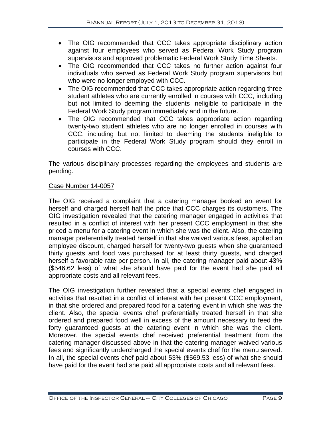- The OIG recommended that CCC takes appropriate disciplinary action against four employees who served as Federal Work Study program supervisors and approved problematic Federal Work Study Time Sheets.
- The OIG recommended that CCC takes no further action against four individuals who served as Federal Work Study program supervisors but who were no longer employed with CCC.
- The OIG recommended that CCC takes appropriate action regarding three student athletes who are currently enrolled in courses with CCC, including but not limited to deeming the students ineligible to participate in the Federal Work Study program immediately and in the future.
- The OIG recommended that CCC takes appropriate action regarding twenty-two student athletes who are no longer enrolled in courses with CCC, including but not limited to deeming the students ineligible to participate in the Federal Work Study program should they enroll in courses with CCC.

The various disciplinary processes regarding the employees and students are pending.

#### Case Number 14-0057

The OIG received a complaint that a catering manager booked an event for herself and charged herself half the price that CCC charges its customers. The OIG investigation revealed that the catering manager engaged in activities that resulted in a conflict of interest with her present CCC employment in that she priced a menu for a catering event in which she was the client. Also, the catering manager preferentially treated herself in that she waived various fees, applied an employee discount, charged herself for twenty-two guests when she guaranteed thirty guests and food was purchased for at least thirty guests, and charged herself a favorable rate per person. In all, the catering manager paid about 43% (\$546.62 less) of what she should have paid for the event had she paid all appropriate costs and all relevant fees.

The OIG investigation further revealed that a special events chef engaged in activities that resulted in a conflict of interest with her present CCC employment, in that she ordered and prepared food for a catering event in which she was the client. Also, the special events chef preferentially treated herself in that she ordered and prepared food well in excess of the amount necessary to feed the forty guaranteed guests at the catering event in which she was the client. Moreover, the special events chef received preferential treatment from the catering manager discussed above in that the catering manager waived various fees and significantly undercharged the special events chef for the menu served. In all, the special events chef paid about 53% (\$569.53 less) of what she should have paid for the event had she paid all appropriate costs and all relevant fees.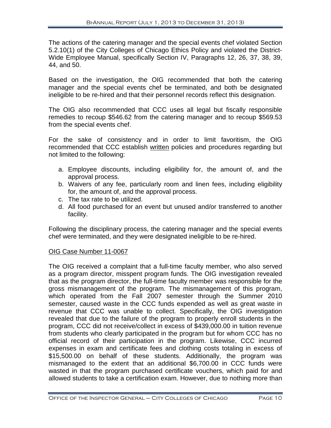The actions of the catering manager and the special events chef violated Section 5.2.10(1) of the City Colleges of Chicago Ethics Policy and violated the District-Wide Employee Manual, specifically Section IV, Paragraphs 12, 26, 37, 38, 39, 44, and 50.

Based on the investigation, the OIG recommended that both the catering manager and the special events chef be terminated, and both be designated ineligible to be re-hired and that their personnel records reflect this designation.

The OIG also recommended that CCC uses all legal but fiscally responsible remedies to recoup \$546.62 from the catering manager and to recoup \$569.53 from the special events chef.

For the sake of consistency and in order to limit favoritism, the OIG recommended that CCC establish written policies and procedures regarding but not limited to the following:

- a. Employee discounts, including eligibility for, the amount of, and the approval process.
- b. Waivers of any fee, particularly room and linen fees, including eligibility for, the amount of, and the approval process.
- c. The tax rate to be utilized.
- d. All food purchased for an event but unused and/or transferred to another facility.

Following the disciplinary process, the catering manager and the special events chef were terminated, and they were designated ineligible to be re-hired.

#### OIG Case Number 11-0067

The OIG received a complaint that a full-time faculty member, who also served as a program director, misspent program funds. The OIG investigation revealed that as the program director, the full-time faculty member was responsible for the gross mismanagement of the program. The mismanagement of this program, which operated from the Fall 2007 semester through the Summer 2010 semester, caused waste in the CCC funds expended as well as great waste in revenue that CCC was unable to collect. Specifically, the OIG investigation revealed that due to the failure of the program to properly enroll students in the program, CCC did not receive/collect in excess of \$439,000.00 in tuition revenue from students who clearly participated in the program but for whom CCC has no official record of their participation in the program. Likewise, CCC incurred expenses in exam and certificate fees and clothing costs totaling in excess of \$15,500.00 on behalf of these students. Additionally, the program was mismanaged to the extent that an additional \$6,700.00 in CCC funds were wasted in that the program purchased certificate vouchers, which paid for and allowed students to take a certification exam. However, due to nothing more than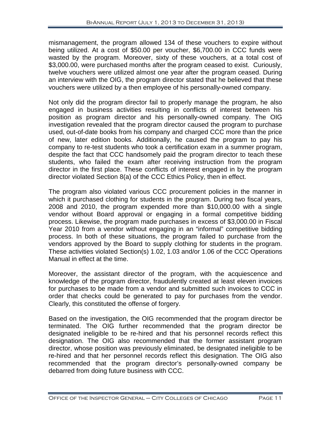mismanagement, the program allowed 134 of these vouchers to expire without being utilized. At a cost of \$50.00 per voucher, \$6,700.00 in CCC funds were wasted by the program. Moreover, sixty of these vouchers, at a total cost of \$3,000.00, were purchased months after the program ceased to exist. Curiously, twelve vouchers were utilized almost one year after the program ceased. During an interview with the OIG, the program director stated that he believed that these vouchers were utilized by a then employee of his personally-owned company.

Not only did the program director fail to properly manage the program, he also engaged in business activities resulting in conflicts of interest between his position as program director and his personally-owned company. The OIG investigation revealed that the program director caused the program to purchase used, out-of-date books from his company and charged CCC more than the price of new, later edition books. Additionally, he caused the program to pay his company to re-test students who took a certification exam in a summer program, despite the fact that CCC handsomely paid the program director to teach these students, who failed the exam after receiving instruction from the program director in the first place. These conflicts of interest engaged in by the program director violated Section 8(a) of the CCC Ethics Policy, then in effect.

The program also violated various CCC procurement policies in the manner in which it purchased clothing for students in the program. During two fiscal years, 2008 and 2010, the program expended more than \$10,000.00 with a single vendor without Board approval or engaging in a formal competitive bidding process. Likewise, the program made purchases in excess of \$3,000.00 in Fiscal Year 2010 from a vendor without engaging in an "informal" competitive bidding process. In both of these situations, the program failed to purchase from the vendors approved by the Board to supply clothing for students in the program. These activities violated Section(s) 1.02, 1.03 and/or 1.06 of the CCC Operations Manual in effect at the time.

Moreover, the assistant director of the program, with the acquiescence and knowledge of the program director, fraudulently created at least eleven invoices for purchases to be made from a vendor and submitted such invoices to CCC in order that checks could be generated to pay for purchases from the vendor. Clearly, this constituted the offense of forgery.

Based on the investigation, the OIG recommended that the program director be terminated. The OIG further recommended that the program director be designated ineligible to be re-hired and that his personnel records reflect this designation. The OIG also recommended that the former assistant program director, whose position was previously eliminated, be designated ineligible to be re-hired and that her personnel records reflect this designation. The OIG also recommended that the program director's personally-owned company be debarred from doing future business with CCC.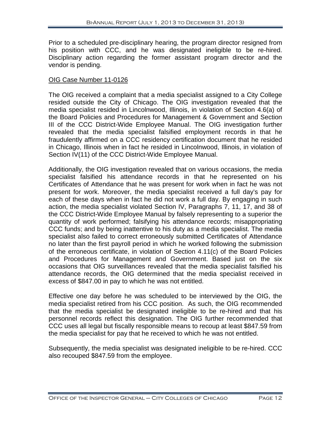Prior to a scheduled pre-disciplinary hearing, the program director resigned from his position with CCC, and he was designated ineligible to be re-hired. Disciplinary action regarding the former assistant program director and the vendor is pending.

#### OIG Case Number 11-0126

The OIG received a complaint that a media specialist assigned to a City College resided outside the City of Chicago. The OIG investigation revealed that the media specialist resided in Lincolnwood, Illinois, in violation of Section 4.6(a) of the Board Policies and Procedures for Management & Government and Section III of the CCC District-Wide Employee Manual. The OIG investigation further revealed that the media specialist falsified employment records in that he fraudulently affirmed on a CCC residency certification document that he resided in Chicago, Illinois when in fact he resided in Lincolnwood, Illinois, in violation of Section IV(11) of the CCC District-Wide Employee Manual.

Additionally, the OIG investigation revealed that on various occasions, the media specialist falsified his attendance records in that he represented on his Certificates of Attendance that he was present for work when in fact he was not present for work. Moreover, the media specialist received a full day's pay for each of these days when in fact he did not work a full day. By engaging in such action, the media specialist violated Section IV, Paragraphs 7, 11, 17, and 38 of the CCC District-Wide Employee Manual by falsely representing to a superior the quantity of work performed; falsifying his attendance records; misappropriating CCC funds; and by being inattentive to his duty as a media specialist. The media specialist also failed to correct erroneously submitted Certificates of Attendance no later than the first payroll period in which he worked following the submission of the erroneous certificate, in violation of Section 4.11(c) of the Board Policies and Procedures for Management and Government. Based just on the six occasions that OIG surveillances revealed that the media specialist falsified his attendance records, the OIG determined that the media specialist received in excess of \$847.00 in pay to which he was not entitled.

Effective one day before he was scheduled to be interviewed by the OIG, the media specialist retired from his CCC position. As such, the OIG recommended that the media specialist be designated ineligible to be re-hired and that his personnel records reflect this designation. The OIG further recommended that CCC uses all legal but fiscally responsible means to recoup at least \$847.59 from the media specialist for pay that he received to which he was not entitled.

Subsequently, the media specialist was designated ineligible to be re-hired. CCC also recouped \$847.59 from the employee.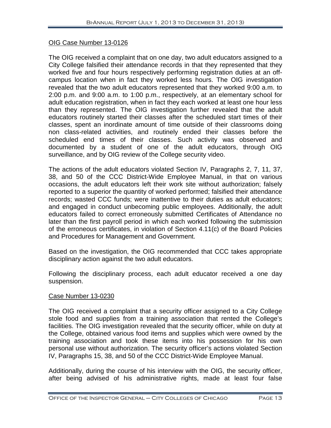#### OIG Case Number 13-0126

The OIG received a complaint that on one day, two adult educators assigned to a City College falsified their attendance records in that they represented that they worked five and four hours respectively performing registration duties at an offcampus location when in fact they worked less hours. The OIG investigation revealed that the two adult educators represented that they worked 9:00 a.m. to 2:00 p.m. and 9:00 a.m. to 1:00 p.m., respectively, at an elementary school for adult education registration, when in fact they each worked at least one hour less than they represented. The OIG investigation further revealed that the adult educators routinely started their classes after the scheduled start times of their classes, spent an inordinate amount of time outside of their classrooms doing non class-related activities, and routinely ended their classes before the scheduled end times of their classes. Such activity was observed and documented by a student of one of the adult educators, through OIG surveillance, and by OIG review of the College security video.

The actions of the adult educators violated Section IV, Paragraphs 2, 7, 11, 37, 38, and 50 of the CCC District-Wide Employee Manual, in that on various occasions, the adult educators left their work site without authorization; falsely reported to a superior the quantity of worked performed; falsified their attendance records; wasted CCC funds; were inattentive to their duties as adult educators; and engaged in conduct unbecoming public employees. Additionally, the adult educators failed to correct erroneously submitted Certificates of Attendance no later than the first payroll period in which each worked following the submission of the erroneous certificates, in violation of Section 4.11(c) of the Board Policies and Procedures for Management and Government.

Based on the investigation, the OIG recommended that CCC takes appropriate disciplinary action against the two adult educators.

Following the disciplinary process, each adult educator received a one day suspension.

#### Case Number 13-0230

The OIG received a complaint that a security officer assigned to a City College stole food and supplies from a training association that rented the College's facilities. The OIG investigation revealed that the security officer, while on duty at the College, obtained various food items and supplies which were owned by the training association and took these items into his possession for his own personal use without authorization. The security officer's actions violated Section IV, Paragraphs 15, 38, and 50 of the CCC District-Wide Employee Manual.

Additionally, during the course of his interview with the OIG, the security officer, after being advised of his administrative rights, made at least four false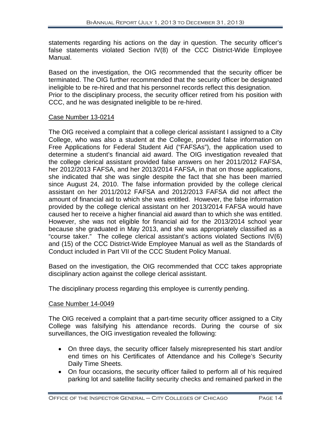statements regarding his actions on the day in question. The security officer's false statements violated Section IV(8) of the CCC District-Wide Employee Manual.

Based on the investigation, the OIG recommended that the security officer be terminated. The OIG further recommended that the security officer be designated ineligible to be re-hired and that his personnel records reflect this designation. Prior to the disciplinary process, the security officer retired from his position with CCC, and he was designated ineligible to be re-hired.

#### Case Number 13-0214

The OIG received a complaint that a college clerical assistant I assigned to a City College, who was also a student at the College, provided false information on Free Applications for Federal Student Aid ("FAFSAs"), the application used to determine a student's financial aid award. The OIG investigation revealed that the college clerical assistant provided false answers on her 2011/2012 FAFSA, her 2012/2013 FAFSA, and her 2013/2014 FAFSA, in that on those applications, she indicated that she was single despite the fact that she has been married since August 24, 2010. The false information provided by the college clerical assistant on her 2011/2012 FAFSA and 2012/2013 FAFSA did not affect the amount of financial aid to which she was entitled. However, the false information provided by the college clerical assistant on her 2013/2014 FAFSA would have caused her to receive a higher financial aid award than to which she was entitled. However, she was not eligible for financial aid for the 2013/2014 school year because she graduated in May 2013, and she was appropriately classified as a "course taker." The college clerical assistant's actions violated Sections IV(6) and (15) of the CCC District-Wide Employee Manual as well as the Standards of Conduct included in Part VII of the CCC Student Policy Manual.

Based on the investigation, the OIG recommended that CCC takes appropriate disciplinary action against the college clerical assistant.

The disciplinary process regarding this employee is currently pending.

#### Case Number 14-0049

The OIG received a complaint that a part-time security officer assigned to a City College was falsifying his attendance records. During the course of six surveillances, the OIG investigation revealed the following:

- On three days, the security officer falsely misrepresented his start and/or end times on his Certificates of Attendance and his College's Security Daily Time Sheets.
- On four occasions, the security officer failed to perform all of his required parking lot and satellite facility security checks and remained parked in the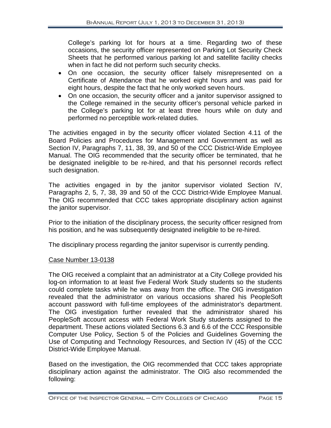College's parking lot for hours at a time. Regarding two of these occasions, the security officer represented on Parking Lot Security Check Sheets that he performed various parking lot and satellite facility checks when in fact he did not perform such security checks.

- On one occasion, the security officer falsely misrepresented on a Certificate of Attendance that he worked eight hours and was paid for eight hours, despite the fact that he only worked seven hours.
- On one occasion, the security officer and a janitor supervisor assigned to the College remained in the security officer's personal vehicle parked in the College's parking lot for at least three hours while on duty and performed no perceptible work-related duties.

The activities engaged in by the security officer violated Section 4.11 of the Board Policies and Procedures for Management and Government as well as Section IV, Paragraphs 7, 11, 38, 39, and 50 of the CCC District-Wide Employee Manual. The OIG recommended that the security officer be terminated, that he be designated ineligible to be re-hired, and that his personnel records reflect such designation.

The activities engaged in by the janitor supervisor violated Section IV, Paragraphs 2, 5, 7, 38, 39 and 50 of the CCC District-Wide Employee Manual. The OIG recommended that CCC takes appropriate disciplinary action against the janitor supervisor.

Prior to the initiation of the disciplinary process, the security officer resigned from his position, and he was subsequently designated ineligible to be re-hired.

The disciplinary process regarding the janitor supervisor is currently pending.

#### Case Number 13-0138

The OIG received a complaint that an administrator at a City College provided his log-on information to at least five Federal Work Study students so the students could complete tasks while he was away from the office. The OIG investigation revealed that the administrator on various occasions shared his PeopleSoft account password with full-time employees of the administrator's department. The OIG investigation further revealed that the administrator shared his PeopleSoft account access with Federal Work Study students assigned to the department. These actions violated Sections 6.3 and 6.6 of the CCC Responsible Computer Use Policy, Section 5 of the Policies and Guidelines Governing the Use of Computing and Technology Resources, and Section IV (45) of the CCC District-Wide Employee Manual.

Based on the investigation, the OIG recommended that CCC takes appropriate disciplinary action against the administrator. The OIG also recommended the following: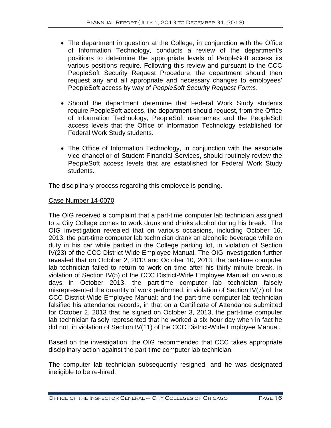- The department in question at the College, in conjunction with the Office of Information Technology, conducts a review of the department's positions to determine the appropriate levels of PeopleSoft access its various positions require. Following this review and pursuant to the CCC PeopleSoft Security Request Procedure, the department should then request any and all appropriate and necessary changes to employees' PeopleSoft access by way of *PeopleSoft Security Request Forms*.
- Should the department determine that Federal Work Study students require PeopleSoft access, the department should request, from the Office of Information Technology, PeopleSoft usernames and the PeopleSoft access levels that the Office of Information Technology established for Federal Work Study students.
- The Office of Information Technology, in conjunction with the associate vice chancellor of Student Financial Services, should routinely review the PeopleSoft access levels that are established for Federal Work Study students.

The disciplinary process regarding this employee is pending.

#### Case Number 14-0070

The OIG received a complaint that a part-time computer lab technician assigned to a City College comes to work drunk and drinks alcohol during his break. The OIG investigation revealed that on various occasions, including October 16, 2013, the part-time computer lab technician drank an alcoholic beverage while on duty in his car while parked in the College parking lot, in violation of Section IV(23) of the CCC District-Wide Employee Manual. The OIG investigation further revealed that on October 2, 2013 and October 10, 2013, the part-time computer lab technician failed to return to work on time after his thirty minute break, in violation of Section IV(5) of the CCC District-Wide Employee Manual; on various days in October 2013, the part-time computer lab technician falsely misrepresented the quantity of work performed, in violation of Section IV(7) of the CCC District-Wide Employee Manual; and the part-time computer lab technician falsified his attendance records, in that on a Certificate of Attendance submitted for October 2, 2013 that he signed on October 3, 2013, the part-time computer lab technician falsely represented that he worked a six hour day when in fact he did not, in violation of Section IV(11) of the CCC District-Wide Employee Manual.

Based on the investigation, the OIG recommended that CCC takes appropriate disciplinary action against the part-time computer lab technician.

The computer lab technician subsequently resigned, and he was designated ineligible to be re-hired.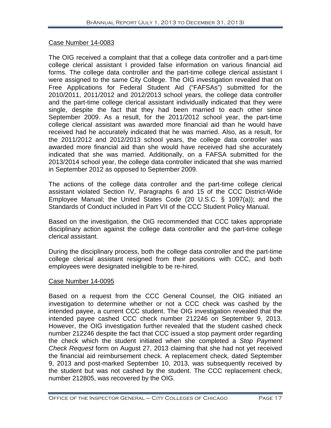#### Case Number 14-0083

The OIG received a complaint that that a college data controller and a part-time college clerical assistant I provided false information on various financial aid forms. The college data controller and the part-time college clerical assistant I were assigned to the same City College. The OIG investigation revealed that on Free Applications for Federal Student Aid ("FAFSAs") submitted for the 2010/2011, 2011/2012 and 2012/2013 school years, the college data controller and the part-time college clerical assistant individually indicated that they were single, despite the fact that they had been married to each other since September 2009. As a result, for the 2011/2012 school year, the part-time college clerical assistant was awarded more financial aid than he would have received had he accurately indicated that he was married. Also, as a result, for the 2011/2012 and 2012/2013 school years, the college data controller was awarded more financial aid than she would have received had she accurately indicated that she was married. Additionally, on a FAFSA submitted for the 2013/2014 school year, the college data controller indicated that she was married in September 2012 as opposed to September 2009.

The actions of the college data controller and the part-time college clerical assistant violated Section IV, Paragraphs 6 and 15 of the CCC District-Wide Employee Manual; the United States Code (20 U.S.C. § 1097(a)); and the Standards of Conduct included in Part VII of the CCC Student Policy Manual.

Based on the investigation, the OIG recommended that CCC takes appropriate disciplinary action against the college data controller and the part-time college clerical assistant.

During the disciplinary process, both the college data controller and the part-time college clerical assistant resigned from their positions with CCC, and both employees were designated ineligible to be re-hired.

#### Case Number 14-0095

Based on a request from the CCC General Counsel, the OIG initiated an investigation to determine whether or not a CCC check was cashed by the intended payee, a current CCC student. The OIG investigation revealed that the intended payee cashed CCC check number 212246 on September 9, 2013. However, the OIG investigation further revealed that the student cashed check number 212246 despite the fact that CCC issued a stop payment order regarding the check which the student initiated when she completed a *Stop Payment Check Request* form on August 27, 2013 claiming that she had not yet received the financial aid reimbursement check. A replacement check, dated September 9, 2013 and post-marked September 10, 2013, was subsequently received by the student but was not cashed by the student. The CCC replacement check, number 212805, was recovered by the OIG.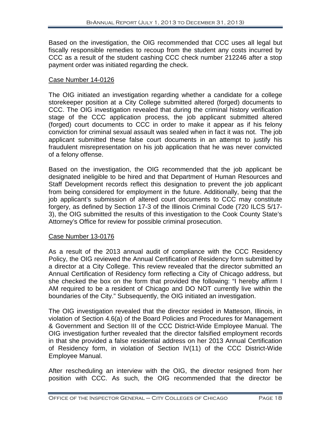Based on the investigation, the OIG recommended that CCC uses all legal but fiscally responsible remedies to recoup from the student any costs incurred by CCC as a result of the student cashing CCC check number 212246 after a stop payment order was initiated regarding the check.

#### Case Number 14-0126

The OIG initiated an investigation regarding whether a candidate for a college storekeeper position at a City College submitted altered (forged) documents to CCC. The OIG investigation revealed that during the criminal history verification stage of the CCC application process, the job applicant submitted altered (forged) court documents to CCC in order to make it appear as if his felony conviction for criminal sexual assault was sealed when in fact it was not. The job applicant submitted these false court documents in an attempt to justify his fraudulent misrepresentation on his job application that he was never convicted of a felony offense.

Based on the investigation, the OIG recommended that the job applicant be designated ineligible to be hired and that Department of Human Resources and Staff Development records reflect this designation to prevent the job applicant from being considered for employment in the future. Additionally, being that the job applicant's submission of altered court documents to CCC may constitute forgery, as defined by Section 17-3 of the Illinois Criminal Code (720 ILCS 5/17- 3), the OIG submitted the results of this investigation to the Cook County State's Attorney's Office for review for possible criminal prosecution.

#### Case Number 13-0176

As a result of the 2013 annual audit of compliance with the CCC Residency Policy, the OIG reviewed the Annual Certification of Residency form submitted by a director at a City College. This review revealed that the director submitted an Annual Certification of Residency form reflecting a City of Chicago address, but she checked the box on the form that provided the following: "I hereby affirm I AM required to be a resident of Chicago and DO NOT currently live within the boundaries of the City." Subsequently, the OIG initiated an investigation.

The OIG investigation revealed that the director resided in Matteson, Illinois, in violation of Section 4.6(a) of the Board Policies and Procedures for Management & Government and Section III of the CCC District-Wide Employee Manual. The OIG investigation further revealed that the director falsified employment records in that she provided a false residential address on her 2013 Annual Certification of Residency form, in violation of Section IV(11) of the CCC District-Wide Employee Manual.

After rescheduling an interview with the OIG, the director resigned from her position with CCC. As such, the OIG recommended that the director be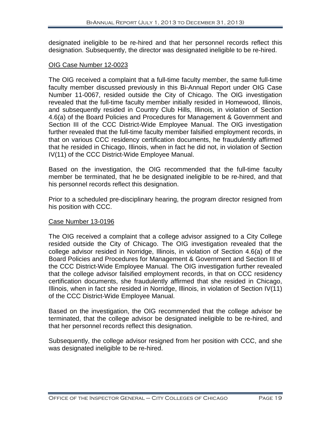designated ineligible to be re-hired and that her personnel records reflect this designation. Subsequently, the director was designated ineligible to be re-hired.

#### OIG Case Number 12-0023

The OIG received a complaint that a full-time faculty member, the same full-time faculty member discussed previously in this Bi-Annual Report under OIG Case Number 11-0067, resided outside the City of Chicago. The OIG investigation revealed that the full-time faculty member initially resided in Homewood, Illinois, and subsequently resided in Country Club Hills, Illinois, in violation of Section 4.6(a) of the Board Policies and Procedures for Management & Government and Section III of the CCC District-Wide Employee Manual. The OIG investigation further revealed that the full-time faculty member falsified employment records, in that on various CCC residency certification documents, he fraudulently affirmed that he resided in Chicago, Illinois, when in fact he did not, in violation of Section IV(11) of the CCC District-Wide Employee Manual.

Based on the investigation, the OIG recommended that the full-time faculty member be terminated, that he be designated ineligible to be re-hired, and that his personnel records reflect this designation.

Prior to a scheduled pre-disciplinary hearing, the program director resigned from his position with CCC.

#### Case Number 13-0196

The OIG received a complaint that a college advisor assigned to a City College resided outside the City of Chicago. The OIG investigation revealed that the college advisor resided in Norridge, Illinois, in violation of Section 4.6(a) of the Board Policies and Procedures for Management & Government and Section III of the CCC District-Wide Employee Manual. The OIG investigation further revealed that the college advisor falsified employment records, in that on CCC residency certification documents, she fraudulently affirmed that she resided in Chicago, Illinois, when in fact she resided in Norridge, Illinois, in violation of Section IV(11) of the CCC District-Wide Employee Manual.

Based on the investigation, the OIG recommended that the college advisor be terminated, that the college advisor be designated ineligible to be re-hired, and that her personnel records reflect this designation.

Subsequently, the college advisor resigned from her position with CCC, and she was designated ineligible to be re-hired.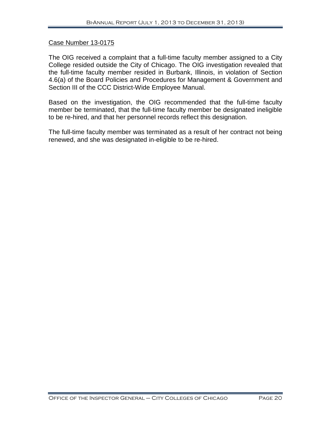#### Case Number 13-0175

The OIG received a complaint that a full-time faculty member assigned to a City College resided outside the City of Chicago. The OIG investigation revealed that the full-time faculty member resided in Burbank, Illinois, in violation of Section 4.6(a) of the Board Policies and Procedures for Management & Government and Section III of the CCC District-Wide Employee Manual.

Based on the investigation, the OIG recommended that the full-time faculty member be terminated, that the full-time faculty member be designated ineligible to be re-hired, and that her personnel records reflect this designation.

The full-time faculty member was terminated as a result of her contract not being renewed, and she was designated in-eligible to be re-hired.